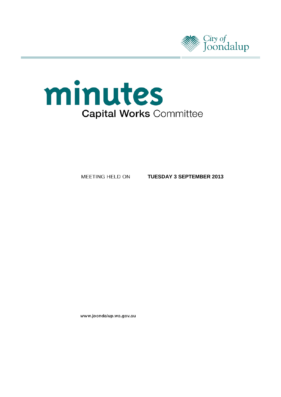



MEETING HELD ON

**TUESDAY 3 SEPTEMBER 2013**

www.joondalup.wa.gov.au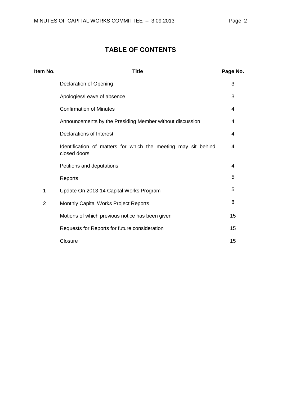# **TABLE OF CONTENTS**

| Item No.       | <b>Title</b>                                                                   | Page No. |
|----------------|--------------------------------------------------------------------------------|----------|
|                | <b>Declaration of Opening</b>                                                  | 3        |
|                | Apologies/Leave of absence                                                     | 3        |
|                | <b>Confirmation of Minutes</b>                                                 | 4        |
|                | Announcements by the Presiding Member without discussion                       | 4        |
|                | Declarations of Interest                                                       | 4        |
|                | Identification of matters for which the meeting may sit behind<br>closed doors | 4        |
|                | Petitions and deputations                                                      | 4        |
|                | Reports                                                                        | 5        |
| 1              | Update On 2013-14 Capital Works Program                                        | 5        |
| $\overline{2}$ | Monthly Capital Works Project Reports                                          | 8        |
|                | Motions of which previous notice has been given                                | 15       |
|                | Requests for Reports for future consideration                                  | 15       |
|                | Closure                                                                        | 15       |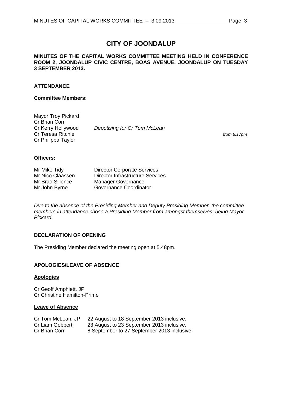# **CITY OF JOONDALUP**

### **MINUTES OF THE CAPITAL WORKS COMMITTEE MEETING HELD IN CONFERENCE ROOM 2, JOONDALUP CIVIC CENTRE, BOAS AVENUE, JOONDALUP ON TUESDAY 3 SEPTEMBER 2013.**

# **ATTENDANCE**

### **Committee Members:**

| Mayor Troy Pickard |                              |
|--------------------|------------------------------|
| Cr Brian Corr      |                              |
| Cr Kerry Hollywood | Deputising for Cr Tom McLean |
| Cr Teresa Ritchie  |                              |
| Cr Philippa Taylor |                              |

from 6.17pm

### **Officers:**

| Mr Mike Tidy     | <b>Director Corporate Services</b> |
|------------------|------------------------------------|
| Mr Nico Claassen | Director Infrastructure Services   |
| Mr Brad Sillence | <b>Manager Governance</b>          |
| Mr John Byrne    | Governance Coordinator             |

*Due to the absence of the Presiding Member and Deputy Presiding Member, the committee members in attendance chose a Presiding Member from amongst themselves, being Mayor Pickard.*

# <span id="page-2-0"></span>**DECLARATION OF OPENING**

The Presiding Member declared the meeting open at 5.48pm.

# <span id="page-2-1"></span>**APOLOGIES/LEAVE OF ABSENCE**

### **Apologies**

Cr Geoff Amphlett, JP Cr Christine Hamilton-Prime

### **Leave of Absence**

| Cr Tom McLean, JP | 22 August to 18 September 2013 inclusive.   |
|-------------------|---------------------------------------------|
| Cr Liam Gobbert   | 23 August to 23 September 2013 inclusive.   |
| Cr Brian Corr     | 8 September to 27 September 2013 inclusive. |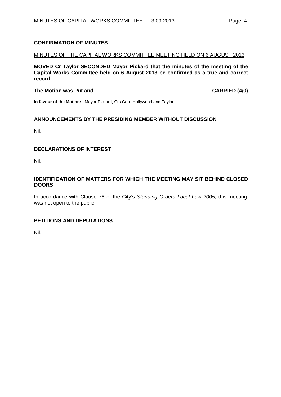# <span id="page-3-0"></span>**CONFIRMATION OF MINUTES**

# MINUTES OF THE CAPITAL WORKS COMMITTEE MEETING HELD ON 6 AUGUST 2013

**MOVED Cr Taylor SECONDED Mayor Pickard that the minutes of the meeting of the Capital Works Committee held on 6 August 2013 be confirmed as a true and correct record.**

### **The Motion was Put and CARRIED (4/0)**

**In favour of the Motion:** Mayor Pickard, Crs Corr, Hollywood and Taylor.

# <span id="page-3-1"></span>**ANNOUNCEMENTS BY THE PRESIDING MEMBER WITHOUT DISCUSSION**

Nil.

### <span id="page-3-2"></span>**DECLARATIONS OF INTEREST**

Nil.

### <span id="page-3-3"></span>**IDENTIFICATION OF MATTERS FOR WHICH THE MEETING MAY SIT BEHIND CLOSED DOORS**

In accordance with Clause 76 of the City's *Standing Orders Local Law 2005*, this meeting was not open to the public.

# <span id="page-3-4"></span>**PETITIONS AND DEPUTATIONS**

Nil.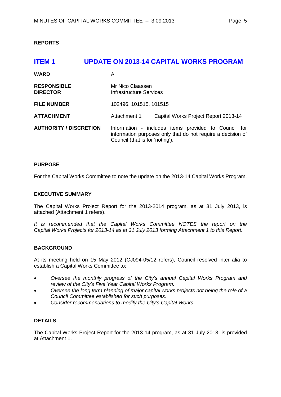# <span id="page-4-0"></span>**REPORTS**

<span id="page-4-1"></span>

| <b>ITEM1</b>                          | <b>UPDATE ON 2013-14 CAPITAL WORKS PROGRAM</b>                                                                                                         |  |
|---------------------------------------|--------------------------------------------------------------------------------------------------------------------------------------------------------|--|
| <b>WARD</b>                           | All                                                                                                                                                    |  |
| <b>RESPONSIBLE</b><br><b>DIRECTOR</b> | Mr Nico Claassen<br>Infrastructure Services                                                                                                            |  |
| <b>FILE NUMBER</b>                    | 102496, 101515, 101515                                                                                                                                 |  |
| <b>ATTACHMENT</b>                     | Attachment 1<br>Capital Works Project Report 2013-14                                                                                                   |  |
| <b>AUTHORITY / DISCRETION</b>         | Information - includes items provided to Council for<br>information purposes only that do not require a decision of<br>Council (that is for 'noting'). |  |

### **PURPOSE**

For the Capital Works Committee to note the update on the 2013-14 Capital Works Program.

### **EXECUTIVE SUMMARY**

The Capital Works Project Report for the 2013-2014 program, as at 31 July 2013, is attached (Attachment 1 refers).

*It is recommended that the Capital Works Committee NOTES the report on the Capital Works Projects for 2013-14 as at 31 July 2013 forming Attachment 1 to this Report.*

### **BACKGROUND**

At its meeting held on 15 May 2012 (CJ094-05/12 refers), Council resolved inter alia to establish a Capital Works Committee to:

- *Oversee the monthly progress of the City's annual Capital Works Program and review of the City's Five Year Capital Works Program.*
- *Oversee the long term planning of major capital works projects not being the role of a Council Committee established for such purposes.*
- *Consider recommendations to modify the City's Capital Works.*

### **DETAILS**

The Capital Works Project Report for the 2013-14 program, as at 31 July 2013, is provided at Attachment 1.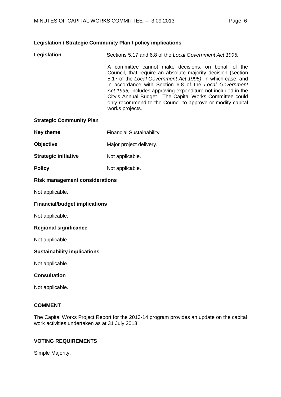# **Legislation / Strategic Community Plan / policy implications**

**Legislation** Sections 5.17 and 6.8 of the *Local Government Act 1995.*

A committee cannot make decisions, on behalf of the Council, that require an absolute majority decision (section 5.17 of the *Local Government Act 1995)*, in which case, and in accordance with Section 6.8 of the *Local Government Act 1995,* includes approving expenditure not included in the City's Annual Budget. The Capital Works Committee could only recommend to the Council to approve or modify capital works projects.

### **Strategic Community Plan**

- **Key theme** Financial Sustainability.
- **Objective** Major project delivery.
- **Strategic initiative** Not applicable.
- **Policy** Not applicable.

### **Risk management considerations**

Not applicable.

### **Financial/budget implications**

Not applicable.

### **Regional significance**

Not applicable.

### **Sustainability implications**

Not applicable.

### **Consultation**

Not applicable.

### **COMMENT**

The Capital Works Project Report for the 2013-14 program provides an update on the capital work activities undertaken as at 31 July 2013.

### **VOTING REQUIREMENTS**

Simple Majority.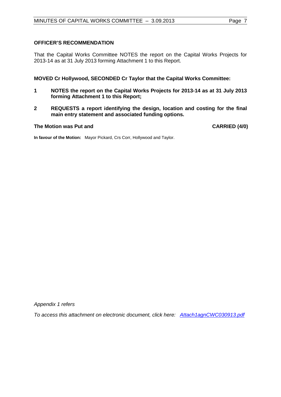### **OFFICER'S RECOMMENDATION**

That the Capital Works Committee NOTES the report on the Capital Works Projects for 2013-14 as at 31 July 2013 forming Attachment 1 to this Report.

### **MOVED Cr Hollywood, SECONDED Cr Taylor that the Capital Works Committee:**

- **1 NOTES the report on the Capital Works Projects for 2013-14 as at 31 July 2013 forming Attachment 1 to this Report;**
- **2 REQUESTS a report identifying the design, location and costing for the final main entry statement and associated funding options.**

### **The Motion was Put and CARRIED (4/0)**

**In favour of the Motion:** Mayor Pickard, Crs Corr, Hollywood and Taylor.

*Appendix 1 refers*

*[To access this attachment on electronic document, click here: Attach1agnCWC030913.pdf](http://www.joondalup.wa.gov.au/files/committees/CWOC/2013/Attach1agnCWC030913.pdf)*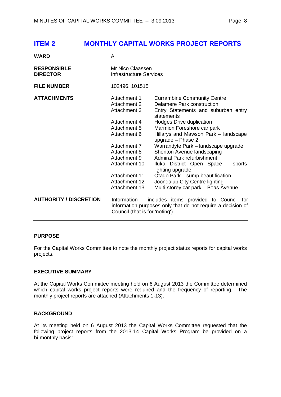# <span id="page-7-0"></span>**ITEM 2 MONTHLY CAPITAL WORKS PROJECT REPORTS**

| <b>WARD</b>                           | All                                                                                                                                                    |                                                                                                                                                           |
|---------------------------------------|--------------------------------------------------------------------------------------------------------------------------------------------------------|-----------------------------------------------------------------------------------------------------------------------------------------------------------|
| <b>RESPONSIBLE</b><br><b>DIRECTOR</b> | Mr Nico Claassen<br>Infrastructure Services                                                                                                            |                                                                                                                                                           |
| <b>FILE NUMBER</b>                    | 102496, 101515                                                                                                                                         |                                                                                                                                                           |
| <b>ATTACHMENTS</b>                    | Attachment 1<br>Attachment 2<br><b>Attachment 3</b><br>Attachment 4                                                                                    | <b>Currambine Community Centre</b><br>Delamere Park construction<br>Entry Statements and suburban entry<br>statements<br>Hodges Drive duplication         |
|                                       | Attachment 5<br>Attachment 6                                                                                                                           | Marmion Foreshore car park<br>Hillarys and Mawson Park – landscape<br>upgrade - Phase 2                                                                   |
|                                       | Attachment 7<br>Attachment 8<br>Attachment 9<br>Attachment 10                                                                                          | Warrandyte Park - landscape upgrade<br>Shenton Avenue landscaping<br>Admiral Park refurbishment<br>Iluka District Open Space - sports<br>lighting upgrade |
|                                       | <b>Attachment 11</b><br>Attachment 12<br>Attachment 13                                                                                                 | Otago Park - sump beautification<br>Joondalup City Centre lighting<br>Multi-storey car park - Boas Avenue                                                 |
| <b>AUTHORITY / DISCRETION</b>         | Information - includes items provided to Council for<br>information purposes only that do not require a decision of<br>Council (that is for 'noting'). |                                                                                                                                                           |

### **PURPOSE**

For the Capital Works Committee to note the monthly project status reports for capital works projects.

### **EXECUTIVE SUMMARY**

At the Capital Works Committee meeting held on 6 August 2013 the Committee determined which capital works project reports were required and the frequency of reporting. The monthly project reports are attached (Attachments 1-13).

# **BACKGROUND**

At its meeting held on 6 August 2013 the Capital Works Committee requested that the following project reports from the 2013-14 Capital Works Program be provided on a bi-monthly basis: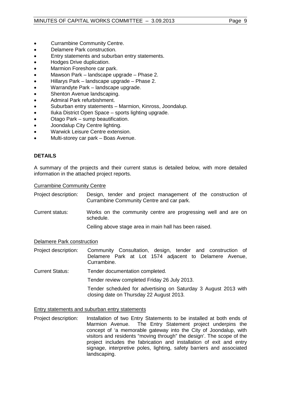- Currambine Community Centre.
- Delamere Park construction.
- Entry statements and suburban entry statements.
- Hodges Drive duplication.
- Marmion Foreshore car park.
- Mawson Park landscape upgrade Phase 2.
- Hillarys Park landscape upgrade Phase 2.
- Warrandyte Park landscape upgrade.
- Shenton Avenue landscaping.
- Admiral Park refurbishment.
- Suburban entry statements Marmion, Kinross, Joondalup.
- Iluka District Open Space sports lighting upgrade.
- Otago Park sump beautification.
- Joondalup City Centre lighting.
- Warwick Leisure Centre extension.
- Multi-storey car park Boas Avenue.

# **DETAILS**

A summary of the projects and their current status is detailed below, with more detailed information in the attached project reports.

### Currambine Community Centre

- Project description: Design, tender and project management of the construction of Currambine Community Centre and car park.
- Current status: Works on the community centre are progressing well and are on schedule.

Ceiling above stage area in main hall has been raised.

### Delamere Park construction

Project description: Community Consultation, design, tender and construction of Delamere Park at Lot 1574 adjacent to Delamere Avenue, Currambine.

Current Status: Tender documentation completed.

Tender review completed Friday 26 July 2013.

Tender scheduled for advertising on Saturday 3 August 2013 with closing date on Thursday 22 August 2013.

### Entry statements and suburban entry statements

Project description: Installation of two Entry Statements to be installed at both ends of Marmion Avenue. The Entry Statement project underpins the concept of 'a memorable gateway into the City of Joondalup, with visitors and residents "moving through" the design'. The scope of the project includes the fabrication and installation of exit and entry signage, interpretive poles, lighting, safety barriers and associated landscaping.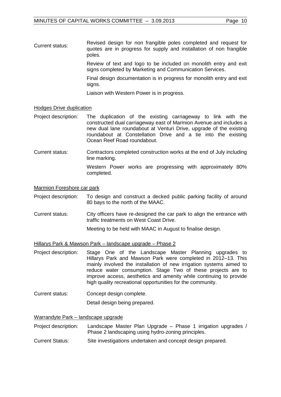Current status: Revised design for non frangible poles completed and request for quotes are in progress for supply and installation of non frangible poles.

> Review of text and logo to be included on monolith entry and exit signs completed by Marketing and Communication Services.

> Final design documentation is in progress for monolith entry and exit signs.

Liaison with Western Power is in progress.

### Hodges Drive duplication

- Project description: The duplication of the existing carriageway to link with the constructed dual carriageway east of Marmion Avenue and includes a new dual lane roundabout at Venturi Drive, upgrade of the existing roundabout at Constellation Drive and a tie into the existing Ocean Reef Road roundabout.
- Current status: Contractors completed construction works at the end of July including line marking. Western Power works are progressing with approximately 80%

Marmion Foreshore car park

- Project description: To design and construct a decked public parking facility of around 80 bays to the north of the MAAC.
- Current status: City officers have re-designed the car park to align the entrance with traffic treatments on West Coast Drive.

Meeting to be held with MAAC in August to finalise design.

Hillarys Park & Mawson Park – landscape upgrade – Phase 2

completed.

- Project description: Stage One of the Landscape Master Planning upgrades to Hillarys Park and Mawson Park were completed in 2012–13. This mainly involved the installation of new irrigation systems aimed to reduce water consumption. Stage Two of these projects are to improve access, aesthetics and amenity while continuing to provide high quality recreational opportunities for the community.
- Current status: Concept design complete.

Detail design being prepared.

### Warrandyte Park – landscape upgrade

- Project description: Landscape Master Plan Upgrade Phase 1 irrigation upgrades / Phase 2 landscaping using hydro-zoning principles.
- Current Status: Site investigations undertaken and concept design prepared.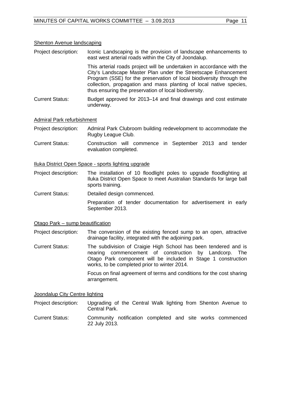### Shenton Avenue landscaping

Project description: Iconic Landscaping is the provision of landscape enhancements to east west arterial roads within the City of Joondalup.

> This arterial roads project will be undertaken in accordance with the City's Landscape Master Plan under the Streetscape Enhancement Program (SSE) for the preservation of local biodiversity through the collection, propagation and mass planting of local native species, thus ensuring the preservation of local biodiversity.

Current Status: Budget approved for 2013–14 and final drawings and cost estimate underway.

### Admiral Park refurbishment

- Project description: Admiral Park Clubroom building redevelopment to accommodate the Rugby League Club.
- Current Status: Construction will commence in September 2013 and tender evaluation completed.

### Iluka District Open Space - sports lighting upgrade

- Project description: The installation of 10 floodlight poles to upgrade floodlighting at Iluka District Open Space to meet Australian Standards for large ball sports training.
- Current Status: Detailed design commenced.

Preparation of tender documentation for advertisement in early September 2013.

### Otago Park – sump beautification

Project description: The conversion of the existing fenced sump to an open, attractive drainage facility, integrated with the adjoining park.

Current Status: The subdivision of Craigie High School has been tendered and is nearing commencement of construction by Landcorp. The Otago Park component will be included in Stage 1 construction works, to be completed prior to winter 2014.

> Focus on final agreement of terms and conditions for the cost sharing arrangement.

### Joondalup City Centre lighting

Project description: Upgrading of the Central Walk lighting from Shenton Avenue to Central Park.

Current Status: Community notification completed and site works commenced 22 July 2013.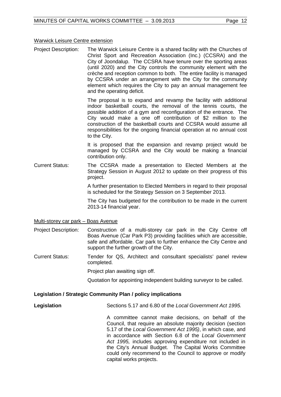### Warwick Leisure Centre extension

Project Description: The Warwick Leisure Centre is a shared facility with the Churches of Christ Sport and Recreation Association (Inc.) (CCSRA) and the City of Joondalup. The CCSRA have tenure over the sporting areas (until 2020) and the City controls the community element with the crèche and reception common to both. The entire facility is managed by CCSRA under an arrangement with the City for the community element which requires the City to pay an annual management fee and the operating deficit.

> The proposal is to expand and revamp the facility with additional indoor basketball courts, the removal of the tennis courts, the possible addition of a gym and reconfiguration of the entrance. The City would make a one off contribution of \$2 million to the construction of the basketball courts and CCSRA would assume all responsibilities for the ongoing financial operation at no annual cost to the City.

> It is proposed that the expansion and revamp project would be managed by CCSRA and the City would be making a financial contribution only.

Current Status: The CCSRA made a presentation to Elected Members at the Strategy Session in August 2012 to update on their progress of this project.

> A further presentation to Elected Members in regard to their proposal is scheduled for the Strategy Session on 3 September 2013.

> The City has budgeted for the contribution to be made in the current 2013-14 financial year.

Multi-storey car park – Boas Avenue

Project Description: Construction of a multi-storey car park in the City Centre off Boas Avenue (Car Park P3) providing facilities which are accessible, safe and affordable. Car park to further enhance the City Centre and support the further growth of the City.

Current Status: Tender for QS, Architect and consultant specialists' panel review completed.

Project plan awaiting sign off.

Quotation for appointing independent building surveyor to be called.

### **Legislation / Strategic Community Plan / policy implications**

**Legislation** Sections 5.17 and 6.80 of the *Local Government Act 1995.* 

A committee cannot make decisions, on behalf of the Council, that require an absolute majority decision (section 5.17 of the *Local Government Act 1995)*, in which case, and in accordance with Section 6.8 of the *Local Government Act 1995,* includes approving expenditure not included in the City's Annual Budget. The Capital Works Committee could only recommend to the Council to approve or modify capital works projects.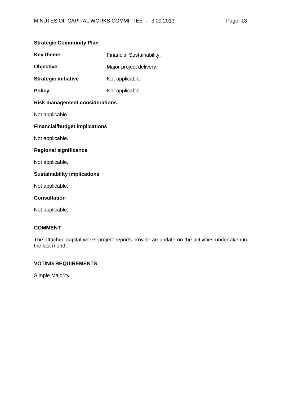### **Strategic Community Plan**

| <b>Key theme</b> | <b>Financial Sustainability.</b> |
|------------------|----------------------------------|
|------------------|----------------------------------|

**Objective** Major project delivery.

**Strategic initiative** Not applicable.

**Policy** Not applicable.

# **Risk management considerations**

Not applicable.

# **Financial/budget implications**

Not applicable.

# **Regional significance**

Not applicable.

# **Sustainability implications**

Not applicable.

### **Consultation**

Not applicable.

# **COMMENT**

The attached capital works project reports provide an update on the activities undertaken in the last month.

# **VOTING REQUIREMENTS**

Simple Majority.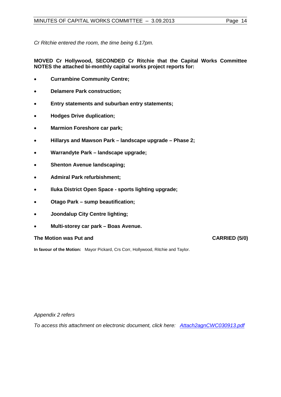*Cr Ritchie entered the room, the time being 6.17pm.*

**MOVED Cr Hollywood, SECONDED Cr Ritchie that the Capital Works Committee NOTES the attached bi-monthly capital works project reports for:**

- **Currambine Community Centre;**
- **Delamere Park construction;**
- **Entry statements and suburban entry statements;**
- **Hodges Drive duplication;**
- **Marmion Foreshore car park;**
- **Hillarys and Mawson Park landscape upgrade Phase 2;**
- **Warrandyte Park landscape upgrade;**
- **Shenton Avenue landscaping;**
- **Admiral Park refurbishment;**
- **Iluka District Open Space sports lighting upgrade;**
- **Otago Park sump beautification;**
- **Joondalup City Centre lighting;**
- **Multi-storey car park Boas Avenue.**

### The Motion was Put and **CARRIED** (5/0)

**In favour of the Motion:** Mayor Pickard, Crs Corr, Hollywood, Ritchie and Taylor.

*Appendix 2 refers*

*[To access this attachment on electronic document, click here: Attach2agnCWC030913.pdf](http://www.joondalup.wa.gov.au/files/committees/CWOC/2013/Attach2agnCWC030913.pdf)*